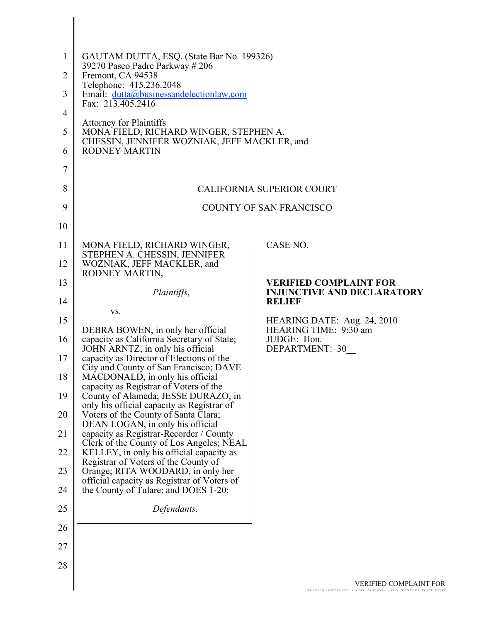| $\mathbf{1}$<br>$\overline{2}$<br>3<br>4<br>5<br>6<br>7 | GAUTAM DUTTA, ESQ. (State Bar No. 199326)<br>39270 Paseo Padre Parkway # 206<br>Fremont, CA 94538<br>Telephone: 415.236.2048<br>Email: dutta@businessandelectionlaw.com<br>Fax: 213.405.2416<br><b>Attorney for Plaintiffs</b><br>MONA FIELD, RICHARD WINGER, STEPHEN A.<br>CHESSIN, JENNIFER WOZNIAK, JEFF MACKLER, and<br><b>RODNEY MARTIN</b> |                                                                                     |
|---------------------------------------------------------|--------------------------------------------------------------------------------------------------------------------------------------------------------------------------------------------------------------------------------------------------------------------------------------------------------------------------------------------------|-------------------------------------------------------------------------------------|
| 8                                                       |                                                                                                                                                                                                                                                                                                                                                  | <b>CALIFORNIA SUPERIOR COURT</b>                                                    |
| 9                                                       |                                                                                                                                                                                                                                                                                                                                                  | COUNTY OF SAN FRANCISCO                                                             |
| 10                                                      |                                                                                                                                                                                                                                                                                                                                                  |                                                                                     |
| 11                                                      | MONA FIELD, RICHARD WINGER,<br>STEPHEN A. CHESSIN, JENNIFER                                                                                                                                                                                                                                                                                      | CASE NO.                                                                            |
| 12                                                      | WOZNIAK, JEFF MACKLER, and<br>RODNEY MARTIN,                                                                                                                                                                                                                                                                                                     |                                                                                     |
| 13<br>14                                                | Plaintiffs,                                                                                                                                                                                                                                                                                                                                      | <b>VERIFIED COMPLAINT FOR</b><br><b>INJUNCTIVE AND DECLARATORY</b><br><b>RELIEF</b> |
| 15                                                      | VS.                                                                                                                                                                                                                                                                                                                                              | HEARING DATE: Aug. 24, 2010                                                         |
| 16                                                      | DEBRA BOWEN, in only her official<br>capacity as California Secretary of State;<br>JOHN ARNTZ, in only his official                                                                                                                                                                                                                              | HEARING TIME: 9:30 am<br>JUDGE: Hon.<br>DEPARTMENT: 30                              |
| 17                                                      | capacity as Director of Elections of the<br>City and County of San Francisco; DAVE                                                                                                                                                                                                                                                               |                                                                                     |
| 18                                                      | MACDONALD, in only his official<br>capacity as Registrar of Voters of the                                                                                                                                                                                                                                                                        |                                                                                     |
| 19                                                      | County of Alameda; JESSE DURAZO, in<br>only his official capacity as Registrar of                                                                                                                                                                                                                                                                |                                                                                     |
| 20<br>21                                                | Voters of the County of Santa Clara;<br>DEAN LOGAN, in only his official<br>capacity as Registrar-Recorder / County                                                                                                                                                                                                                              |                                                                                     |
| 22                                                      | Clerk of the County of Los Angeles; NEAL<br>KELLEY, in only his official capacity as                                                                                                                                                                                                                                                             |                                                                                     |
| 23                                                      | Registrar of Voters of the County of<br>Orange; RITA WOODARD, in only her                                                                                                                                                                                                                                                                        |                                                                                     |
| 24                                                      | official capacity as Registrar of Voters of<br>the County of Tulare; and DOES 1-20;                                                                                                                                                                                                                                                              |                                                                                     |
| 25                                                      | Defendants.                                                                                                                                                                                                                                                                                                                                      |                                                                                     |
| 26                                                      |                                                                                                                                                                                                                                                                                                                                                  |                                                                                     |
| 27                                                      |                                                                                                                                                                                                                                                                                                                                                  |                                                                                     |
| 28                                                      |                                                                                                                                                                                                                                                                                                                                                  |                                                                                     |
|                                                         |                                                                                                                                                                                                                                                                                                                                                  | <b>VERIFIED COMPLAINT FOR</b>                                                       |

I

BIRDIGER ETHER ANGELE AND DECEMBER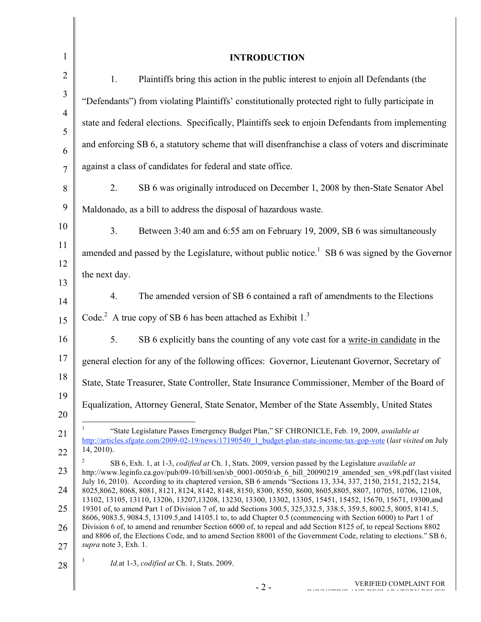| $\mathbf{1}$   | <b>INTRODUCTION</b>                                                                                                                                                                                                                                                                                                                                 |
|----------------|-----------------------------------------------------------------------------------------------------------------------------------------------------------------------------------------------------------------------------------------------------------------------------------------------------------------------------------------------------|
| $\overline{2}$ | Plaintiffs bring this action in the public interest to enjoin all Defendants (the<br>1.                                                                                                                                                                                                                                                             |
| $\mathfrak{Z}$ | "Defendants") from violating Plaintiffs' constitutionally protected right to fully participate in                                                                                                                                                                                                                                                   |
| $\overline{4}$ | state and federal elections. Specifically, Plaintiffs seek to enjoin Defendants from implementing                                                                                                                                                                                                                                                   |
| 5<br>6         | and enforcing SB 6, a statutory scheme that will disenfranchise a class of voters and discriminate                                                                                                                                                                                                                                                  |
| $\overline{7}$ | against a class of candidates for federal and state office.                                                                                                                                                                                                                                                                                         |
| 8              | 2.<br>SB 6 was originally introduced on December 1, 2008 by then-State Senator Abel                                                                                                                                                                                                                                                                 |
| 9              | Maldonado, as a bill to address the disposal of hazardous waste.                                                                                                                                                                                                                                                                                    |
| 10             | 3 <sub>1</sub><br>Between 3:40 am and 6:55 am on February 19, 2009, SB 6 was simultaneously                                                                                                                                                                                                                                                         |
| 11             | amended and passed by the Legislature, without public notice. <sup>1</sup> SB 6 was signed by the Governor                                                                                                                                                                                                                                          |
| 12             | the next day.                                                                                                                                                                                                                                                                                                                                       |
| 13<br>14       | The amended version of SB 6 contained a raft of amendments to the Elections<br>4.                                                                                                                                                                                                                                                                   |
| 15             | Code. <sup>2</sup> A true copy of SB 6 has been attached as Exhibit $13$                                                                                                                                                                                                                                                                            |
| 16             | SB 6 explicitly bans the counting of any vote cast for a write-in candidate in the<br>5.                                                                                                                                                                                                                                                            |
| 17             | general election for any of the following offices: Governor, Lieutenant Governor, Secretary of                                                                                                                                                                                                                                                      |
| 18             | State, State Treasurer, State Controller, State Insurance Commissioner, Member of the Board of                                                                                                                                                                                                                                                      |
| 19             | Equalization, Attorney General, State Senator, Member of the State Assembly, United States                                                                                                                                                                                                                                                          |
| 20<br>21       | "State Legislature Passes Emergency Budget Plan," SF CHRONICLE, Feb. 19, 2009, available at                                                                                                                                                                                                                                                         |
| 22             | http://articles.sfgate.com/2009-02-19/news/17190540 1 budget-plan-state-income-tax-gop-vote (last visited on July<br>14, 2010).                                                                                                                                                                                                                     |
| 23             | SB 6, Exh. 1, at 1-3, codified at Ch. 1, Stats. 2009, version passed by the Legislature available at<br>http://www.leginfo.ca.gov/pub/09-10/bill/sen/sb 0001-0050/sb 6 bill 20090219 amended sen v98.pdf (last visited                                                                                                                              |
| 24             | July 16, 2010). According to its chaptered version, SB 6 amends "Sections 13, 334, 337, 2150, 2151, 2152, 2154,<br>8025,8062, 8068, 8081, 8121, 8124, 8142, 8148, 8150, 8300, 8550, 8600, 8605, 8805, 8807, 10705, 10706, 12108,                                                                                                                    |
| 25             | 13102, 13105, 13110, 13206, 13207, 13208, 13230, 13300, 13302, 13305, 15451, 15452, 15670, 15671, 19300, and<br>19301 of, to amend Part 1 of Division 7 of, to add Sections 300.5, 325, 332.5, 338.5, 359.5, 8002.5, 8005, 8141.5,<br>8606, 9083.5, 9084.5, 13109.5, and 14105.1 to, to add Chapter 0.5 (commencing with Section 6000) to Part 1 of |
| 26             | Division 6 of, to amend and renumber Section 6000 of, to repeal and add Section 8125 of, to repeal Sections 8802<br>and 8806 of, the Elections Code, and to amend Section 88001 of the Government Code, relating to elections." SB 6,                                                                                                               |
| 27             | supra note 3, Exh. 1.<br>3                                                                                                                                                                                                                                                                                                                          |
| 28             | Id.at 1-3, codified at Ch. 1, Stats. 2009.                                                                                                                                                                                                                                                                                                          |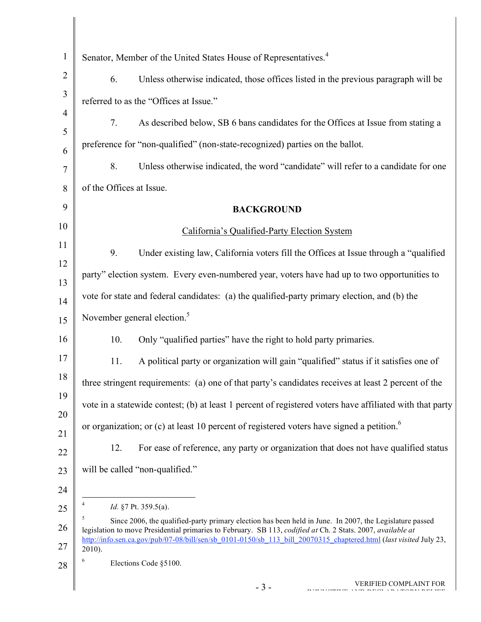| $\mathbf{1}$        | Senator, Member of the United States House of Representatives. <sup>4</sup>                                                                                                                                            |
|---------------------|------------------------------------------------------------------------------------------------------------------------------------------------------------------------------------------------------------------------|
| $\overline{2}$      | 6.<br>Unless otherwise indicated, those offices listed in the previous paragraph will be                                                                                                                               |
| 3                   | referred to as the "Offices at Issue."                                                                                                                                                                                 |
| $\overline{4}$      | 7.<br>As described below, SB 6 bans candidates for the Offices at Issue from stating a                                                                                                                                 |
| 5                   | preference for "non-qualified" (non-state-recognized) parties on the ballot.                                                                                                                                           |
| 6<br>$\overline{7}$ | 8.<br>Unless otherwise indicated, the word "candidate" will refer to a candidate for one                                                                                                                               |
| 8                   | of the Offices at Issue.                                                                                                                                                                                               |
| 9                   | <b>BACKGROUND</b>                                                                                                                                                                                                      |
| 10                  | California's Qualified-Party Election System                                                                                                                                                                           |
| 11                  | 9.<br>Under existing law, California voters fill the Offices at Issue through a "qualified                                                                                                                             |
| 12                  | party" election system. Every even-numbered year, voters have had up to two opportunities to                                                                                                                           |
| 13                  |                                                                                                                                                                                                                        |
| 14                  | vote for state and federal candidates: (a) the qualified-party primary election, and (b) the                                                                                                                           |
| 15                  | November general election. <sup>5</sup>                                                                                                                                                                                |
| 16                  | Only "qualified parties" have the right to hold party primaries.<br>10.                                                                                                                                                |
| 17                  | 11.<br>A political party or organization will gain "qualified" status if it satisfies one of                                                                                                                           |
| 18                  | three stringent requirements: (a) one of that party's candidates receives at least 2 percent of the                                                                                                                    |
| 19                  | vote in a statewide contest; (b) at least 1 percent of registered voters have affiliated with that party                                                                                                               |
| 20                  | or organization; or (c) at least 10 percent of registered voters have signed a petition. <sup>6</sup>                                                                                                                  |
| 21<br>22            | 12.<br>For ease of reference, any party or organization that does not have qualified status                                                                                                                            |
| 23                  | will be called "non-qualified."                                                                                                                                                                                        |
| 24                  |                                                                                                                                                                                                                        |
| 25                  | Id. §7 Pt. 359.5(a).                                                                                                                                                                                                   |
| 26                  | Since 2006, the qualified-party primary election has been held in June. In 2007, the Legislature passed<br>legislation to move Presidential primaries to February. SB 113, codified at Ch. 2 Stats. 2007, available at |
| 27                  | http://info.sen.ca.gov/pub/07-08/bill/sen/sb 0101-0150/sb 113 bill 20070315 chaptered.html (last visited July 23,<br>$2010$ ).                                                                                         |
| 28                  | Elections Code §5100.                                                                                                                                                                                                  |
|                     | <b>VERIFIED COMPLAINT FOR</b><br>$-3-$                                                                                                                                                                                 |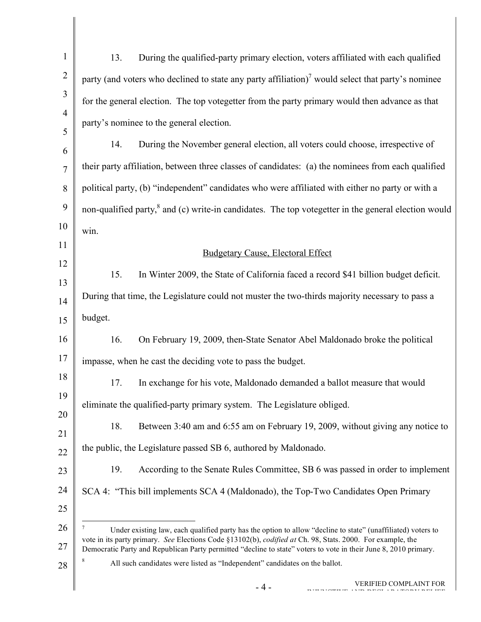| $\mathbf{1}$   | 13.<br>During the qualified-party primary election, voters affiliated with each qualified                                                                                                                                                                                                                                                      |
|----------------|------------------------------------------------------------------------------------------------------------------------------------------------------------------------------------------------------------------------------------------------------------------------------------------------------------------------------------------------|
| $\overline{2}$ | party (and voters who declined to state any party affiliation) $\alpha$ would select that party's nominee                                                                                                                                                                                                                                      |
| 3              | for the general election. The top votegetter from the party primary would then advance as that                                                                                                                                                                                                                                                 |
| $\overline{4}$ | party's nominee to the general election.                                                                                                                                                                                                                                                                                                       |
| 5<br>6         | 14.<br>During the November general election, all voters could choose, irrespective of                                                                                                                                                                                                                                                          |
| $\overline{7}$ | their party affiliation, between three classes of candidates: (a) the nominees from each qualified                                                                                                                                                                                                                                             |
| 8              | political party, (b) "independent" candidates who were affiliated with either no party or with a                                                                                                                                                                                                                                               |
| 9              | non-qualified party, <sup>8</sup> and (c) write-in candidates. The top votegetter in the general election would                                                                                                                                                                                                                                |
| 10             | win.                                                                                                                                                                                                                                                                                                                                           |
| 11             | <b>Budgetary Cause, Electoral Effect</b>                                                                                                                                                                                                                                                                                                       |
| 12             | 15.<br>In Winter 2009, the State of California faced a record \$41 billion budget deficit.                                                                                                                                                                                                                                                     |
| 13             | During that time, the Legislature could not muster the two-thirds majority necessary to pass a                                                                                                                                                                                                                                                 |
| 14<br>15       | budget.                                                                                                                                                                                                                                                                                                                                        |
| 16             | On February 19, 2009, then-State Senator Abel Maldonado broke the political<br>16.                                                                                                                                                                                                                                                             |
| 17             | impasse, when he cast the deciding vote to pass the budget.                                                                                                                                                                                                                                                                                    |
| 18             | In exchange for his vote, Maldonado demanded a ballot measure that would<br>17.                                                                                                                                                                                                                                                                |
| 19             | eliminate the qualified-party primary system. The Legislature obliged.                                                                                                                                                                                                                                                                         |
| 20             |                                                                                                                                                                                                                                                                                                                                                |
| 21             | 18.<br>Between 3:40 am and 6:55 am on February 19, 2009, without giving any notice to                                                                                                                                                                                                                                                          |
| 22             | the public, the Legislature passed SB 6, authored by Maldonado.                                                                                                                                                                                                                                                                                |
| 23             | 19.<br>According to the Senate Rules Committee, SB 6 was passed in order to implement                                                                                                                                                                                                                                                          |
| 24             | SCA 4: "This bill implements SCA 4 (Maldonado), the Top-Two Candidates Open Primary                                                                                                                                                                                                                                                            |
| 25<br>26       | 7                                                                                                                                                                                                                                                                                                                                              |
| 27             | Under existing law, each qualified party has the option to allow "decline to state" (unaffiliated) voters to<br>vote in its party primary. See Elections Code §13102(b), codified at Ch. 98, Stats. 2000. For example, the<br>Democratic Party and Republican Party permitted "decline to state" voters to vote in their June 8, 2010 primary. |
| 28             | 8<br>All such candidates were listed as "Independent" candidates on the ballot.                                                                                                                                                                                                                                                                |
|                | VERIFIED COMPLAINT FOR<br>$-4-$                                                                                                                                                                                                                                                                                                                |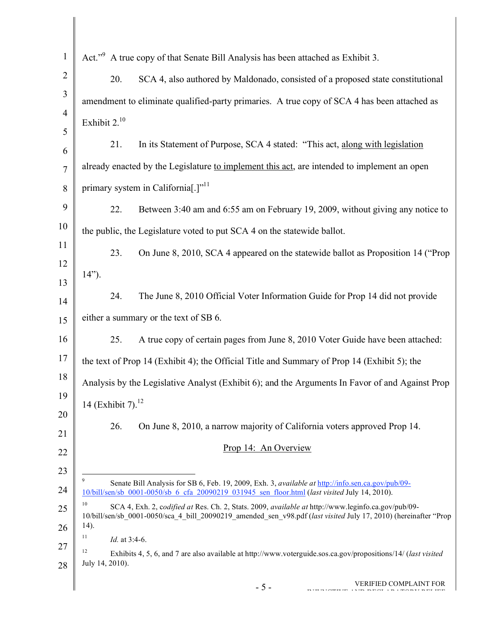| $\mathbf{1}$        | Act." <sup>9</sup> A true copy of that Senate Bill Analysis has been attached as Exhibit 3.                                                                                                                                  |
|---------------------|------------------------------------------------------------------------------------------------------------------------------------------------------------------------------------------------------------------------------|
| $\overline{2}$      | 20.<br>SCA 4, also authored by Maldonado, consisted of a proposed state constitutional                                                                                                                                       |
| 3                   | amendment to eliminate qualified-party primaries. A true copy of SCA 4 has been attached as                                                                                                                                  |
| $\overline{4}$      | Exhibit $2.^{10}$                                                                                                                                                                                                            |
| 5                   | 21.<br>In its Statement of Purpose, SCA 4 stated: "This act, along with legislation                                                                                                                                          |
| 6<br>$\overline{7}$ | already enacted by the Legislature to implement this act, are intended to implement an open                                                                                                                                  |
| 8                   | primary system in California <sup>[1711</sup> ]                                                                                                                                                                              |
| 9                   | 22.<br>Between 3:40 am and 6:55 am on February 19, 2009, without giving any notice to                                                                                                                                        |
| 10                  | the public, the Legislature voted to put SCA 4 on the statewide ballot.                                                                                                                                                      |
| 11                  |                                                                                                                                                                                                                              |
| 12                  | 23.<br>On June 8, 2010, SCA 4 appeared on the statewide ballot as Proposition 14 ("Prop"                                                                                                                                     |
| 13                  | $14$ ").                                                                                                                                                                                                                     |
| 14                  | 24.<br>The June 8, 2010 Official Voter Information Guide for Prop 14 did not provide                                                                                                                                         |
| 15                  | either a summary or the text of SB 6.                                                                                                                                                                                        |
| 16                  | A true copy of certain pages from June 8, 2010 Voter Guide have been attached:<br>25.                                                                                                                                        |
| 17                  | the text of Prop 14 (Exhibit 4); the Official Title and Summary of Prop 14 (Exhibit 5); the                                                                                                                                  |
| 18                  | Analysis by the Legislative Analyst (Exhibit 6); and the Arguments In Favor of and Against Prop                                                                                                                              |
| 19                  | 14 (Exhibit 7). $^{12}$                                                                                                                                                                                                      |
| 20<br>21            | 26.<br>On June 8, 2010, a narrow majority of California voters approved Prop 14.                                                                                                                                             |
| 22                  | Prop 14: An Overview                                                                                                                                                                                                         |
| 23                  |                                                                                                                                                                                                                              |
| 24                  | 9<br>Senate Bill Analysis for SB 6, Feb. 19, 2009, Exh. 3, available at http://info.sen.ca.gov/pub/09-<br>10/bill/sen/sb 0001-0050/sb 6 cfa 20090219 031945 sen floor.html (last visited July 14, 2010).                     |
| 25                  | 10<br>SCA 4, Exh. 2, codified at Res. Ch. 2, Stats. 2009, available at http://www.leginfo.ca.gov/pub/09-<br>10/bill/sen/sb_0001-0050/sca_4_bill_20090219_amended_sen_v98.pdf (last visited July 17, 2010) (hereinafter "Prop |
| 26                  | $(14)$ .<br>11                                                                                                                                                                                                               |
| 27                  | Id. at 3:4-6.<br>12                                                                                                                                                                                                          |
| 28                  | Exhibits 4, 5, 6, and 7 are also available at http://www.voterguide.sos.ca.gov/propositions/14/ (last visited<br>July 14, 2010).                                                                                             |
|                     | VERIFIED COMPLAINT FOR<br>$-5-$                                                                                                                                                                                              |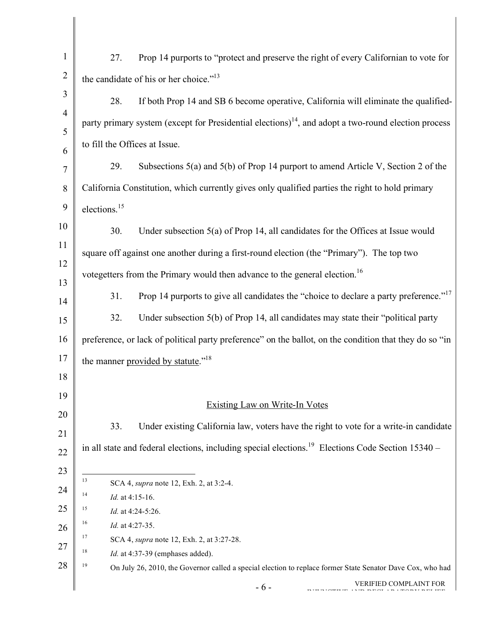| $\mathbf{1}$   | Prop 14 purports to "protect and preserve the right of every Californian to vote for<br>27.                      |
|----------------|------------------------------------------------------------------------------------------------------------------|
|                |                                                                                                                  |
| $\overline{2}$ | the candidate of his or her choice." <sup>13</sup>                                                               |
| 3              | If both Prop 14 and SB 6 become operative, California will eliminate the qualified-<br>28.                       |
| $\overline{4}$ | party primary system (except for Presidential elections) $14$ , and adopt a two-round election process           |
| 5              | to fill the Offices at Issue.                                                                                    |
| 6<br>7         | Subsections 5(a) and 5(b) of Prop 14 purport to amend Article V, Section 2 of the<br>29.                         |
| $\,8\,$        | California Constitution, which currently gives only qualified parties the right to hold primary                  |
| 9              |                                                                                                                  |
|                | elections. <sup>15</sup>                                                                                         |
| 10             | Under subsection $5(a)$ of Prop 14, all candidates for the Offices at Issue would<br>30.                         |
| 11             | square off against one another during a first-round election (the "Primary"). The top two                        |
| 12<br>13       | votegetters from the Primary would then advance to the general election. <sup>16</sup>                           |
| 14             | Prop 14 purports to give all candidates the "choice to declare a party preference." <sup>17</sup><br>31.         |
| 15             | Under subsection 5(b) of Prop 14, all candidates may state their "political party<br>32.                         |
| 16             | preference, or lack of political party preference" on the ballot, on the condition that they do so "in           |
| 17             |                                                                                                                  |
|                | the manner provided by statute." <sup>18</sup>                                                                   |
| 18             |                                                                                                                  |
| 19             | <b>Existing Law on Write-In Votes</b>                                                                            |
| 20             |                                                                                                                  |
| 21             | Under existing California law, voters have the right to vote for a write-in candidate<br>33.                     |
| 22             | in all state and federal elections, including special elections. <sup>19</sup> Elections Code Section 15340 –    |
| 23             |                                                                                                                  |
| 24             | 13<br>SCA 4, <i>supra</i> note 12, Exh. 2, at 3:2-4.<br>14                                                       |
| 25             | Id. at 4:15-16.<br>15<br>Id. at 4:24-5:26.                                                                       |
| 26             | 16<br>Id. at 4:27-35.                                                                                            |
|                | 17<br>SCA 4, <i>supra</i> note 12, Exh. 2, at 3:27-28.                                                           |
| 27             | 18<br>Id. at 4:37-39 (emphases added).                                                                           |
| 28             | 19<br>On July 26, 2010, the Governor called a special election to replace former State Senator Dave Cox, who had |
|                | VERIFIED COMPLAINT FOR<br>$-6-$                                                                                  |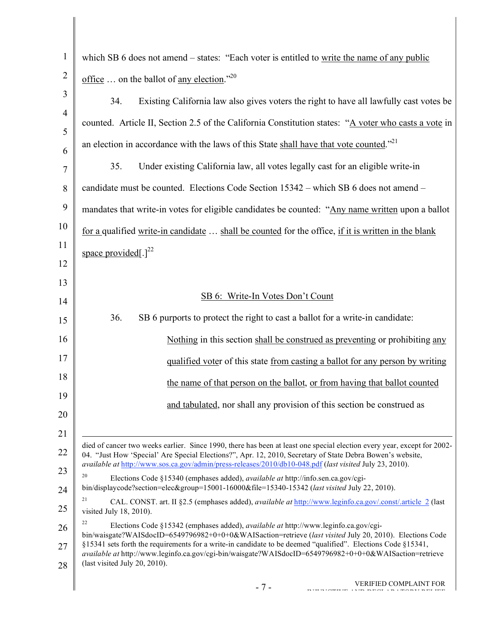| $\mathbf{1}$   | which SB 6 does not amend – states: "Each voter is entitled to write the name of any public                                                                                                                                          |
|----------------|--------------------------------------------------------------------------------------------------------------------------------------------------------------------------------------------------------------------------------------|
| $\overline{2}$ | <u>office</u> on the ballot of <u>any election</u> ." <sup>20</sup>                                                                                                                                                                  |
| 3              | Existing California law also gives voters the right to have all lawfully cast votes be<br>34.                                                                                                                                        |
| $\overline{4}$ | counted. Article II, Section 2.5 of the California Constitution states: "A voter who casts a vote in                                                                                                                                 |
| 5<br>6         | an election in accordance with the laws of this State shall have that vote counted." <sup>21</sup>                                                                                                                                   |
| $\overline{7}$ | Under existing California law, all votes legally cast for an eligible write-in<br>35.                                                                                                                                                |
| 8              | candidate must be counted. Elections Code Section 15342 – which SB 6 does not amend –                                                                                                                                                |
| 9              | mandates that write-in votes for eligible candidates be counted: "Any name written upon a ballot                                                                                                                                     |
| 10             | for a qualified write-in candidate  shall be counted for the office, if it is written in the blank                                                                                                                                   |
| 11             | space provided[.] $^{22}$                                                                                                                                                                                                            |
| 12             |                                                                                                                                                                                                                                      |
| 13             | SB 6: Write-In Votes Don't Count                                                                                                                                                                                                     |
| 14             | 36.<br>SB 6 purports to protect the right to cast a ballot for a write-in candidate:                                                                                                                                                 |
| 15             |                                                                                                                                                                                                                                      |
| 16             | Nothing in this section shall be construed as preventing or prohibiting any                                                                                                                                                          |
| 17             | qualified voter of this state from casting a ballot for any person by writing                                                                                                                                                        |
| 18             | the name of that person on the ballot, or from having that ballot counted                                                                                                                                                            |
| 19<br>20       | and tabulated, nor shall any provision of this section be construed as                                                                                                                                                               |
| 21             |                                                                                                                                                                                                                                      |
| 22             | died of cancer two weeks earlier. Since 1990, there has been at least one special election every year, except for 2002-<br>04. "Just How 'Special' Are Special Elections?", Apr. 12, 2010, Secretary of State Debra Bowen's website, |
| 23             | available at http://www.sos.ca.gov/admin/press-releases/2010/db10-048.pdf (last visited July 23, 2010).                                                                                                                              |
| 24             | 20<br>Elections Code §15340 (emphases added), <i>available at</i> http://info.sen.ca.gov/cgi-<br>bin/displaycode?section=elec&group=15001-16000&file=15340-15342 (last visited July 22, 2010).                                       |
| 25             | 21<br>CAL. CONST. art. II §2.5 (emphases added), <i>available at http://www.leginfo.ca.gov/.const/.article 2</i> (last<br>visited July 18, 2010).                                                                                    |
| 26             | 22<br>Elections Code §15342 (emphases added), <i>available at</i> http://www.leginfo.ca.gov/cgi-<br>bin/waisgate?WAISdocID=6549796982+0+0+0&WAISaction=retrieve (last visited July 20, 2010). Elections Code                         |
| 27             | §15341 sets forth the requirements for a write-in candidate to be deemed "qualified". Elections Code §15341,<br>available at http://www.leginfo.ca.gov/cgi-bin/waisgate?WAISdocID=6549796982+0+0+0&WAISaction=retrieve               |
| 28             | (last visited July 20, 2010).                                                                                                                                                                                                        |
|                | VERIFIED COMPLAINT FOR<br>$-7-$                                                                                                                                                                                                      |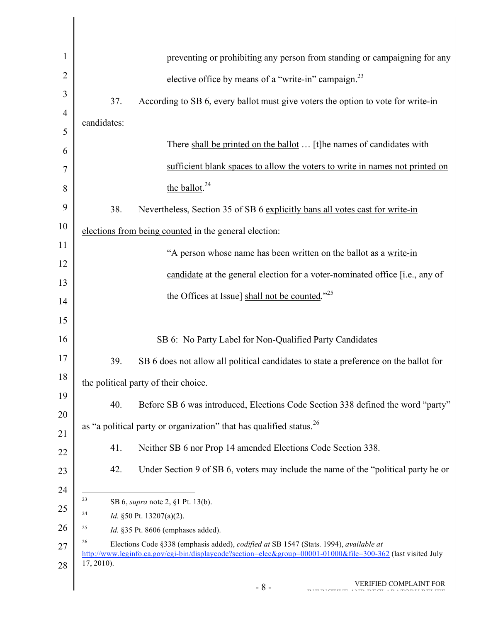| $\mathbf{1}$   | preventing or prohibiting any person from standing or campaigning for any                                                                                                                                                    |
|----------------|------------------------------------------------------------------------------------------------------------------------------------------------------------------------------------------------------------------------------|
| $\overline{2}$ | elective office by means of a "write-in" campaign. <sup>23</sup>                                                                                                                                                             |
| 3              | 37.<br>According to SB 6, every ballot must give voters the option to vote for write-in                                                                                                                                      |
| $\overline{4}$ | candidates:                                                                                                                                                                                                                  |
| 5              |                                                                                                                                                                                                                              |
| 6              | There shall be printed on the ballot  [t] he names of candidates with                                                                                                                                                        |
| 7              | sufficient blank spaces to allow the voters to write in names not printed on                                                                                                                                                 |
| 8              | the ballot. <sup>24</sup>                                                                                                                                                                                                    |
| 9              | 38.<br>Nevertheless, Section 35 of SB 6 explicitly bans all votes cast for write-in                                                                                                                                          |
| 10             | elections from being counted in the general election:                                                                                                                                                                        |
| 11             | "A person whose name has been written on the ballot as a write-in                                                                                                                                                            |
| 12             | candidate at the general election for a voter-nominated office [i.e., any of                                                                                                                                                 |
| 13             |                                                                                                                                                                                                                              |
| 14             | the Offices at Issue] shall not be counted." <sup>25</sup>                                                                                                                                                                   |
| 15             |                                                                                                                                                                                                                              |
| 16             | SB 6: No Party Label for Non-Qualified Party Candidates                                                                                                                                                                      |
| 17             | SB 6 does not allow all political candidates to state a preference on the ballot for<br>39.                                                                                                                                  |
| 18             | the political party of their choice.                                                                                                                                                                                         |
| 19             | 40.<br>Before SB 6 was introduced, Elections Code Section 338 defined the word "party"                                                                                                                                       |
| 20             | as "a political party or organization" that has qualified status. <sup>26</sup>                                                                                                                                              |
| 21             | 41.<br>Neither SB 6 nor Prop 14 amended Elections Code Section 338.                                                                                                                                                          |
| 22             |                                                                                                                                                                                                                              |
| 23             | 42.<br>Under Section 9 of SB 6, voters may include the name of the "political party he or                                                                                                                                    |
| 24             | 23<br>SB 6, <i>supra</i> note 2, §1 Pt. 13(b).                                                                                                                                                                               |
| 25             | 24<br>Id. §50 Pt. 13207(a)(2).                                                                                                                                                                                               |
| 26             | 25<br>Id. §35 Pt. 8606 (emphases added).                                                                                                                                                                                     |
| 27             | 26<br>Elections Code §338 (emphasis added), codified at SB 1547 (Stats. 1994), available at<br>http://www.leginfo.ca.gov/cgi-bin/displaycode?section=elec&group=00001-01000&file=300-362 (last visited July<br>$17, 2010$ ). |
| 28             |                                                                                                                                                                                                                              |
|                | <b>VERIFIED COMPLAINT FOR</b><br>$-8-$                                                                                                                                                                                       |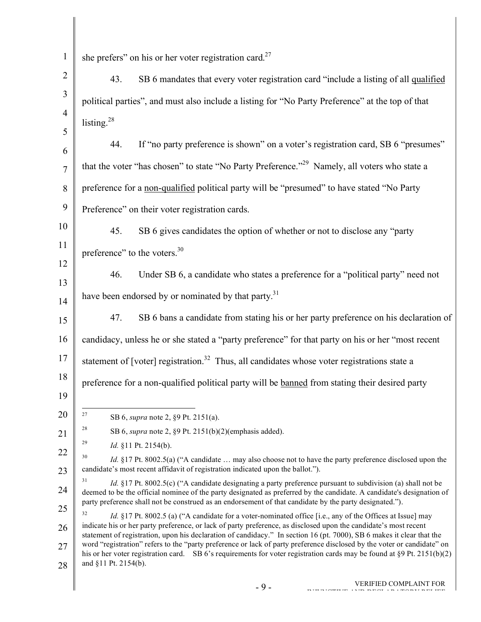| $\mathbf{1}$        | she prefers" on his or her voter registration card. $27$                                                                                                                                                                                                                                                                                                      |
|---------------------|---------------------------------------------------------------------------------------------------------------------------------------------------------------------------------------------------------------------------------------------------------------------------------------------------------------------------------------------------------------|
| $\overline{2}$      | SB 6 mandates that every voter registration card "include a listing of all qualified<br>43.                                                                                                                                                                                                                                                                   |
| 3                   | political parties", and must also include a listing for "No Party Preference" at the top of that                                                                                                                                                                                                                                                              |
| $\overline{4}$      | listing. <sup>28</sup>                                                                                                                                                                                                                                                                                                                                        |
| 5                   | If "no party preference is shown" on a voter's registration card, SB 6 "presumes"<br>44.                                                                                                                                                                                                                                                                      |
| 6<br>$\overline{7}$ | that the voter "has chosen" to state "No Party Preference." <sup>29</sup> Namely, all voters who state a                                                                                                                                                                                                                                                      |
| 8                   | preference for a non-qualified political party will be "presumed" to have stated "No Party                                                                                                                                                                                                                                                                    |
| 9                   |                                                                                                                                                                                                                                                                                                                                                               |
|                     | Preference" on their voter registration cards.                                                                                                                                                                                                                                                                                                                |
| 10                  | 45.<br>SB 6 gives candidates the option of whether or not to disclose any "party"                                                                                                                                                                                                                                                                             |
| 11<br>12            | preference" to the voters. <sup>30</sup>                                                                                                                                                                                                                                                                                                                      |
| 13                  | 46.<br>Under SB 6, a candidate who states a preference for a "political party" need not                                                                                                                                                                                                                                                                       |
| 14                  | have been endorsed by or nominated by that party. <sup>31</sup>                                                                                                                                                                                                                                                                                               |
| 15                  | SB 6 bans a candidate from stating his or her party preference on his declaration of<br>47.                                                                                                                                                                                                                                                                   |
| 16                  | candidacy, unless he or she stated a "party preference" for that party on his or her "most recent                                                                                                                                                                                                                                                             |
| 17                  | statement of [voter] registration. <sup>32</sup> Thus, all candidates whose voter registrations state a                                                                                                                                                                                                                                                       |
| 18                  | preference for a non-qualified political party will be banned from stating their desired party                                                                                                                                                                                                                                                                |
| 19                  |                                                                                                                                                                                                                                                                                                                                                               |
| 20                  | 27<br>SB 6, <i>supra</i> note 2, §9 Pt. 2151(a).                                                                                                                                                                                                                                                                                                              |
| 21                  | 28<br>SB 6, supra note 2, $\S9$ Pt. 2151(b)(2)(emphasis added).                                                                                                                                                                                                                                                                                               |
| 22                  | 29<br><i>Id.</i> §11 Pt. 2154(b).<br>30                                                                                                                                                                                                                                                                                                                       |
| 23                  | <i>Id.</i> §17 Pt. 8002.5(a) ("A candidate  may also choose not to have the party preference disclosed upon the<br>candidate's most recent affidavit of registration indicated upon the ballot.").                                                                                                                                                            |
| 24                  | 31<br>Id. §17 Pt. 8002.5(c) ("A candidate designating a party preference pursuant to subdivision (a) shall not be<br>deemed to be the official nominee of the party designated as preferred by the candidate. A candidate's designation of                                                                                                                    |
| 25                  | party preference shall not be construed as an endorsement of that candidate by the party designated.").<br>32                                                                                                                                                                                                                                                 |
| 26                  | <i>Id.</i> §17 Pt. 8002.5 (a) ("A candidate for a voter-nominated office [i.e., any of the Offices at Issue] may<br>indicate his or her party preference, or lack of party preference, as disclosed upon the candidate's most recent<br>statement of registration, upon his declaration of candidacy." In section 16 (pt. 7000), SB 6 makes it clear that the |
| 27                  | word "registration" refers to the "party preference or lack of party preference disclosed by the voter or candidate" on<br>his or her voter registration card. SB 6's requirements for voter registration cards may be found at §9 Pt. 2151(b)(2)                                                                                                             |
| 28                  | and §11 Pt. 2154(b).                                                                                                                                                                                                                                                                                                                                          |
|                     | VERIFIED COMPLAINT FOR<br>$-9-$                                                                                                                                                                                                                                                                                                                               |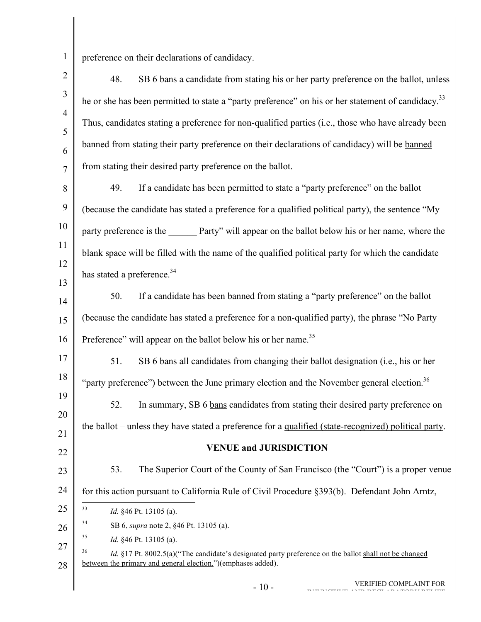preference on their declarations of candidacy.

| $\overline{2}$      | SB 6 bans a candidate from stating his or her party preference on the ballot, unless<br>48.                                                                                        |
|---------------------|------------------------------------------------------------------------------------------------------------------------------------------------------------------------------------|
| $\overline{3}$      | he or she has been permitted to state a "party preference" on his or her statement of candidacy. <sup>33</sup>                                                                     |
| $\overline{4}$<br>5 | Thus, candidates stating a preference for non-qualified parties (i.e., those who have already been                                                                                 |
| 6                   | banned from stating their party preference on their declarations of candidacy) will be banned                                                                                      |
| $\overline{7}$      | from stating their desired party preference on the ballot.                                                                                                                         |
| 8                   | If a candidate has been permitted to state a "party preference" on the ballot<br>49.                                                                                               |
| 9                   | (because the candidate has stated a preference for a qualified political party), the sentence "My                                                                                  |
| 10                  | party preference is the _______ Party" will appear on the ballot below his or her name, where the                                                                                  |
| 11                  | blank space will be filled with the name of the qualified political party for which the candidate                                                                                  |
| 12                  | has stated a preference. <sup>34</sup>                                                                                                                                             |
| 13<br>14            | If a candidate has been banned from stating a "party preference" on the ballot<br>50.                                                                                              |
| 15                  | (because the candidate has stated a preference for a non-qualified party), the phrase "No Party                                                                                    |
| 16                  | Preference" will appear on the ballot below his or her name. <sup>35</sup>                                                                                                         |
| 17                  | SB 6 bans all candidates from changing their ballot designation (i.e., his or her<br>51.                                                                                           |
| 18                  | "party preference") between the June primary election and the November general election. <sup>36</sup>                                                                             |
| 19                  | 52.<br>In summary, SB 6 bans candidates from stating their desired party preference on                                                                                             |
| 20                  | the ballot – unless they have stated a preference for a <u>qualified (state-recognized)</u> political party.                                                                       |
| 21<br>22            | <b>VENUE and JURISDICTION</b>                                                                                                                                                      |
| 23                  | 53.<br>The Superior Court of the County of San Francisco (the "Court") is a proper venue                                                                                           |
| 24                  | for this action pursuant to California Rule of Civil Procedure §393(b). Defendant John Arntz,                                                                                      |
| 25                  | 33<br>Id. §46 Pt. 13105 (a).                                                                                                                                                       |
| 26                  | 34<br>SB 6, <i>supra</i> note 2, §46 Pt. 13105 (a).                                                                                                                                |
| 27                  | 35<br><i>Id.</i> §46 Pt. 13105 (a).                                                                                                                                                |
| 28                  | 36<br><i>Id.</i> §17 Pt. 8002.5(a)("The candidate's designated party preference on the ballot shall not be changed<br>between the primary and general election.")(emphases added). |
|                     | <b>VERIFIED COMPLAINT FOR</b><br>$-10-$                                                                                                                                            |
|                     |                                                                                                                                                                                    |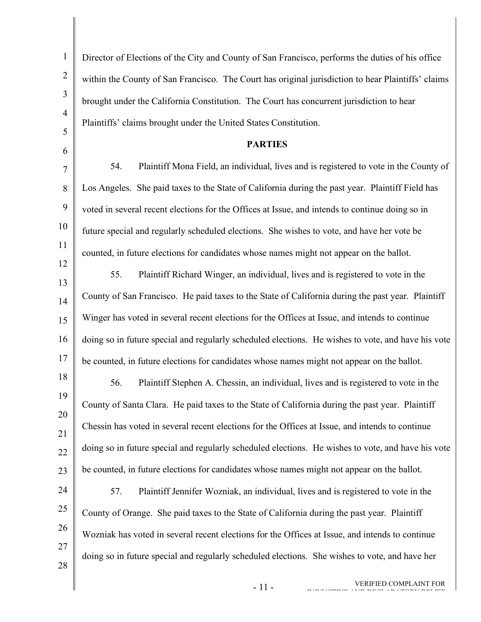| $\mathbf{1}$   | Director of Elections of the City and County of San Francisco, performs the duties of his office   |
|----------------|----------------------------------------------------------------------------------------------------|
| $\overline{c}$ | within the County of San Francisco. The Court has original jurisdiction to hear Plaintiffs' claims |
| $\mathfrak{Z}$ | brought under the California Constitution. The Court has concurrent jurisdiction to hear           |
| $\overline{4}$ | Plaintiffs' claims brought under the United States Constitution.                                   |
| 5              | <b>PARTIES</b>                                                                                     |
| 6<br>7         | Plaintiff Mona Field, an individual, lives and is registered to vote in the County of<br>54.       |
| 8              | Los Angeles. She paid taxes to the State of California during the past year. Plaintiff Field has   |
| 9              | voted in several recent elections for the Offices at Issue, and intends to continue doing so in    |
| 10             | future special and regularly scheduled elections. She wishes to vote, and have her vote be         |
| 11             | counted, in future elections for candidates whose names might not appear on the ballot.            |
| 12             | 55.                                                                                                |
| 13             | Plaintiff Richard Winger, an individual, lives and is registered to vote in the                    |
| 14             | County of San Francisco. He paid taxes to the State of California during the past year. Plaintiff  |
| 15             | Winger has voted in several recent elections for the Offices at Issue, and intends to continue     |
| 16             | doing so in future special and regularly scheduled elections. He wishes to vote, and have his vote |
| 17             | be counted, in future elections for candidates whose names might not appear on the ballot.         |
| 18             | Plaintiff Stephen A. Chessin, an individual, lives and is registered to vote in the<br>56.         |
| 19             | County of Santa Clara. He paid taxes to the State of California during the past year. Plaintiff    |
| 20<br>21       | Chessin has voted in several recent elections for the Offices at Issue, and intends to continue    |
| 22             | doing so in future special and regularly scheduled elections. He wishes to vote, and have his vote |
| 23             | be counted, in future elections for candidates whose names might not appear on the ballot.         |
| 24             | Plaintiff Jennifer Wozniak, an individual, lives and is registered to vote in the<br>57.           |
| 25             | County of Orange. She paid taxes to the State of California during the past year. Plaintiff        |
| 26             | Wozniak has voted in several recent elections for the Offices at Issue, and intends to continue    |
| 27             | doing so in future special and regularly scheduled elections. She wishes to vote, and have her     |
| 28             |                                                                                                    |
|                | VERIFIED COMPLAINT FOR<br>$-11-$                                                                   |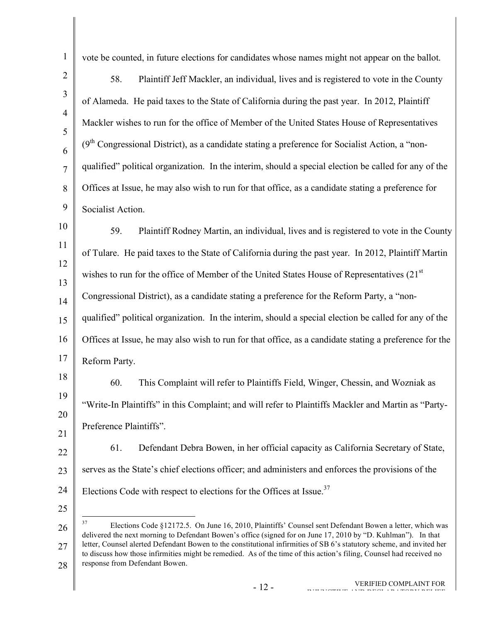vote be counted, in future elections for candidates whose names might not appear on the ballot.

58. Plaintiff Jeff Mackler, an individual, lives and is registered to vote in the County of Alameda. He paid taxes to the State of California during the past year. In 2012, Plaintiff Mackler wishes to run for the office of Member of the United States House of Representatives  $(9<sup>th</sup>$  Congressional District), as a candidate stating a preference for Socialist Action, a "nonqualified" political organization. In the interim, should a special election be called for any of the Offices at Issue, he may also wish to run for that office, as a candidate stating a preference for Socialist Action.

59. Plaintiff Rodney Martin, an individual, lives and is registered to vote in the County of Tulare. He paid taxes to the State of California during the past year. In 2012, Plaintiff Martin wishes to run for the office of Member of the United States House of Representatives (21<sup>st</sup>) Congressional District), as a candidate stating a preference for the Reform Party, a "nonqualified" political organization. In the interim, should a special election be called for any of the Offices at Issue, he may also wish to run for that office, as a candidate stating a preference for the Reform Party.

60. This Complaint will refer to Plaintiffs Field, Winger, Chessin, and Wozniak as "Write-In Plaintiffs" in this Complaint; and will refer to Plaintiffs Mackler and Martin as "Party-Preference Plaintiffs".

22 23 24 61. Defendant Debra Bowen, in her official capacity as California Secretary of State, serves as the State's chief elections officer; and administers and enforces the provisions of the Elections Code with respect to elections for the Offices at Issue.<sup>37</sup>

25

26 27 28 <sup>37</sup> Elections Code §12172.5. On June 16, 2010, Plaintiffs' Counsel sent Defendant Bowen a letter, which was delivered the next morning to Defendant Bowen's office (signed for on June 17, 2010 by "D. Kuhlman"). In that letter, Counsel alerted Defendant Bowen to the constitutional infirmities of SB 6's statutory scheme, and invited her to discuss how those infirmities might be remedied. As of the time of this action's filing, Counsel had received no response from Defendant Bowen.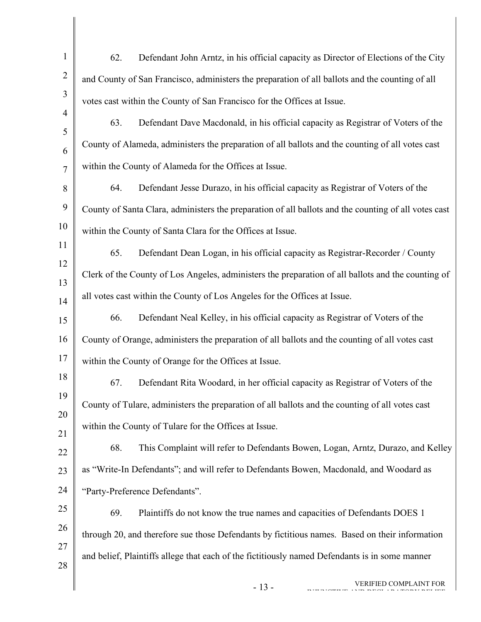| $\mathbf{1}$   | 62.<br>Defendant John Arntz, in his official capacity as Director of Elections of the City           |
|----------------|------------------------------------------------------------------------------------------------------|
| $\overline{2}$ | and County of San Francisco, administers the preparation of all ballots and the counting of all      |
| 3              | votes cast within the County of San Francisco for the Offices at Issue.                              |
| $\overline{4}$ | 63.<br>Defendant Dave Macdonald, in his official capacity as Registrar of Voters of the              |
| 5<br>6         | County of Alameda, administers the preparation of all ballots and the counting of all votes cast     |
| 7              | within the County of Alameda for the Offices at Issue.                                               |
| 8              | Defendant Jesse Durazo, in his official capacity as Registrar of Voters of the<br>64.                |
| 9              | County of Santa Clara, administers the preparation of all ballots and the counting of all votes cast |
| 10             | within the County of Santa Clara for the Offices at Issue.                                           |
| 11             | 65.<br>Defendant Dean Logan, in his official capacity as Registrar-Recorder / County                 |
| 12<br>13       | Clerk of the County of Los Angeles, administers the preparation of all ballots and the counting of   |
| 14             | all votes cast within the County of Los Angeles for the Offices at Issue.                            |
| 15             | Defendant Neal Kelley, in his official capacity as Registrar of Voters of the<br>66.                 |
| 16             | County of Orange, administers the preparation of all ballots and the counting of all votes cast      |
| 17             | within the County of Orange for the Offices at Issue.                                                |
| 18             | Defendant Rita Woodard, in her official capacity as Registrar of Voters of the<br>67.                |
| 19             | County of Tulare, administers the preparation of all ballots and the counting of all votes cast      |
| 20<br>21       | within the County of Tulare for the Offices at Issue.                                                |
| 22             | 68.<br>This Complaint will refer to Defendants Bowen, Logan, Arntz, Durazo, and Kelley               |
| 23             | as "Write-In Defendants"; and will refer to Defendants Bowen, Macdonald, and Woodard as              |
| 24             | "Party-Preference Defendants".                                                                       |
| 25             | 69.<br>Plaintiffs do not know the true names and capacities of Defendants DOES 1                     |
| 26             | through 20, and therefore sue those Defendants by fictitious names. Based on their information       |
| 27             | and belief, Plaintiffs allege that each of the fictitiously named Defendants is in some manner       |
| 28             | VERIFIED COMPLAINT FOR<br>$-13-$                                                                     |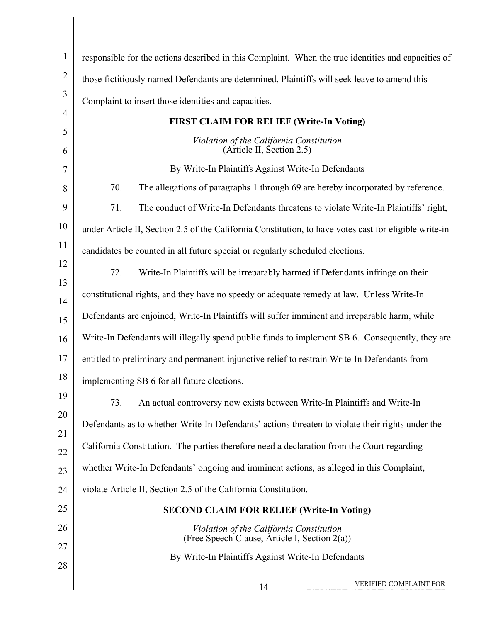| $\mathbf{1}$   | responsible for the actions described in this Complaint. When the true identities and capacities of    |  |  |
|----------------|--------------------------------------------------------------------------------------------------------|--|--|
| $\overline{2}$ |                                                                                                        |  |  |
| 3              | those fictitiously named Defendants are determined, Plaintiffs will seek leave to amend this           |  |  |
| $\overline{4}$ | Complaint to insert those identities and capacities.                                                   |  |  |
| 5              | <b>FIRST CLAIM FOR RELIEF (Write-In Voting)</b>                                                        |  |  |
| 6              | Violation of the California Constitution<br>(Article II, Section 2.5)                                  |  |  |
| 7              | By Write-In Plaintiffs Against Write-In Defendants                                                     |  |  |
| 8              | 70.<br>The allegations of paragraphs 1 through 69 are hereby incorporated by reference.                |  |  |
| 9              | 71.<br>The conduct of Write-In Defendants threatens to violate Write-In Plaintiffs' right,             |  |  |
| 10             | under Article II, Section 2.5 of the California Constitution, to have votes cast for eligible write-in |  |  |
| 11             | candidates be counted in all future special or regularly scheduled elections.                          |  |  |
| 12<br>13       | 72.<br>Write-In Plaintiffs will be irreparably harmed if Defendants infringe on their                  |  |  |
| 14             | constitutional rights, and they have no speedy or adequate remedy at law. Unless Write-In              |  |  |
| 15             | Defendants are enjoined, Write-In Plaintiffs will suffer imminent and irreparable harm, while          |  |  |
| 16             | Write-In Defendants will illegally spend public funds to implement SB 6. Consequently, they are        |  |  |
| 17             | entitled to preliminary and permanent injunctive relief to restrain Write-In Defendants from           |  |  |
| 18             | implementing SB 6 for all future elections.                                                            |  |  |
| 19             | An actual controversy now exists between Write-In Plaintiffs and Write-In<br>73.                       |  |  |
| 20             | Defendants as to whether Write-In Defendants' actions threaten to violate their rights under the       |  |  |
| 21<br>22       | California Constitution. The parties therefore need a declaration from the Court regarding             |  |  |
| 23             | whether Write-In Defendants' ongoing and imminent actions, as alleged in this Complaint,               |  |  |
| 24             | violate Article II, Section 2.5 of the California Constitution.                                        |  |  |
| 25             | <b>SECOND CLAIM FOR RELIEF (Write-In Voting)</b>                                                       |  |  |
| 26             | Violation of the California Constitution<br>(Free Speech Clause, Article I, Section 2(a))              |  |  |
| 27<br>28       | By Write-In Plaintiffs Against Write-In Defendants                                                     |  |  |
|                | VERIFIED COMPLAINT FOR<br>$-14-$                                                                       |  |  |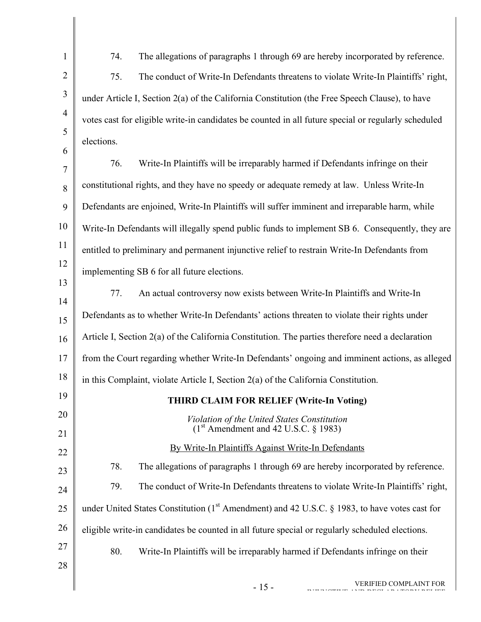| $\mathbf{1}$        | 74.<br>The allegations of paragraphs 1 through 69 are hereby incorporated by reference.             |  |
|---------------------|-----------------------------------------------------------------------------------------------------|--|
| $\overline{2}$      | 75.<br>The conduct of Write-In Defendants threatens to violate Write-In Plaintiffs' right,          |  |
| 3                   | under Article I, Section 2(a) of the California Constitution (the Free Speech Clause), to have      |  |
| $\overline{4}$      | votes cast for eligible write-in candidates be counted in all future special or regularly scheduled |  |
| 5                   | elections.                                                                                          |  |
| 6<br>$\overline{7}$ | Write-In Plaintiffs will be irreparably harmed if Defendants infringe on their<br>76.               |  |
| 8                   | constitutional rights, and they have no speedy or adequate remedy at law. Unless Write-In           |  |
| 9                   | Defendants are enjoined, Write-In Plaintiffs will suffer imminent and irreparable harm, while       |  |
| 10                  | Write-In Defendants will illegally spend public funds to implement SB 6. Consequently, they are     |  |
| 11                  | entitled to preliminary and permanent injunctive relief to restrain Write-In Defendants from        |  |
| 12                  | implementing SB 6 for all future elections.                                                         |  |
| 13                  | An actual controversy now exists between Write-In Plaintiffs and Write-In<br>77.                    |  |
| 14                  | Defendants as to whether Write-In Defendants' actions threaten to violate their rights under        |  |
| 15                  | Article I, Section 2(a) of the California Constitution. The parties therefore need a declaration    |  |
| 16                  |                                                                                                     |  |
| 17<br>18            | from the Court regarding whether Write-In Defendants' ongoing and imminent actions, as alleged      |  |
| 19                  | in this Complaint, violate Article I, Section 2(a) of the California Constitution.                  |  |
| 20                  | <b>THIRD CLAIM FOR RELIEF (Write-In Voting)</b>                                                     |  |
| 21                  | Violation of the United States Constitution<br>$(1st$ Amendment and 42 U.S.C. § 1983)               |  |
| 22                  | By Write-In Plaintiffs Against Write-In Defendants                                                  |  |
| 23                  | 78.<br>The allegations of paragraphs 1 through 69 are hereby incorporated by reference.             |  |
| 24                  | 79.<br>The conduct of Write-In Defendants threatens to violate Write-In Plaintiffs' right,          |  |
| 25                  | under United States Constitution ( $1st$ Amendment) and 42 U.S.C. § 1983, to have votes cast for    |  |
| 26                  | eligible write-in candidates be counted in all future special or regularly scheduled elections.     |  |
| 27                  | 80.<br>Write-In Plaintiffs will be irreparably harmed if Defendants infringe on their               |  |
| 28                  |                                                                                                     |  |
|                     | VERIFIED COMPLAINT FOR<br>$-15-$                                                                    |  |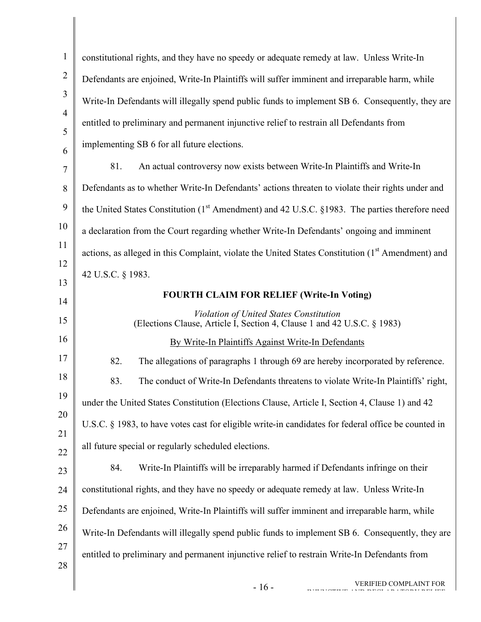| $\mathbf{1}$   | constitutional rights, and they have no speedy or adequate remedy at law. Unless Write-In                     |  |
|----------------|---------------------------------------------------------------------------------------------------------------|--|
| $\overline{2}$ | Defendants are enjoined, Write-In Plaintiffs will suffer imminent and irreparable harm, while                 |  |
| 3              | Write-In Defendants will illegally spend public funds to implement SB 6. Consequently, they are               |  |
| $\overline{4}$ | entitled to preliminary and permanent injunctive relief to restrain all Defendants from                       |  |
| 5<br>6         | implementing SB 6 for all future elections.                                                                   |  |
| 7              | 81.<br>An actual controversy now exists between Write-In Plaintiffs and Write-In                              |  |
| 8              | Defendants as to whether Write-In Defendants' actions threaten to violate their rights under and              |  |
| 9              | the United States Constitution $(1st A$ mendment) and 42 U.S.C. §1983. The parties therefore need             |  |
| 10             | a declaration from the Court regarding whether Write-In Defendants' ongoing and imminent                      |  |
| 11             | actions, as alleged in this Complaint, violate the United States Constitution (1 <sup>st</sup> Amendment) and |  |
| 12             | 42 U.S.C. § 1983.                                                                                             |  |
| 13             | <b>FOURTH CLAIM FOR RELIEF (Write-In Voting)</b>                                                              |  |
| 14             | Violation of United States Constitution                                                                       |  |
| 15             | (Elections Clause, Article I, Section 4, Clause 1 and 42 U.S.C. § 1983)                                       |  |
| 16             | By Write-In Plaintiffs Against Write-In Defendants                                                            |  |
| 17             | 82.<br>The allegations of paragraphs 1 through 69 are hereby incorporated by reference.                       |  |
| 18             | 83.<br>The conduct of Write-In Defendants threatens to violate Write-In Plaintiffs' right,                    |  |
| 19             | under the United States Constitution (Elections Clause, Article I, Section 4, Clause 1) and 42                |  |
| 20<br>21       | U.S.C. § 1983, to have votes cast for eligible write-in candidates for federal office be counted in           |  |
| 22             | all future special or regularly scheduled elections.                                                          |  |
| 23             | Write-In Plaintiffs will be irreparably harmed if Defendants infringe on their<br>84.                         |  |
| 24             | constitutional rights, and they have no speedy or adequate remedy at law. Unless Write-In                     |  |
| 25             | Defendants are enjoined, Write-In Plaintiffs will suffer imminent and irreparable harm, while                 |  |
| 26             | Write-In Defendants will illegally spend public funds to implement SB 6. Consequently, they are               |  |
| 27             | entitled to preliminary and permanent injunctive relief to restrain Write-In Defendants from                  |  |
| 28             |                                                                                                               |  |
|                | VERIFIED COMPLAINT FOR<br>$-16-$                                                                              |  |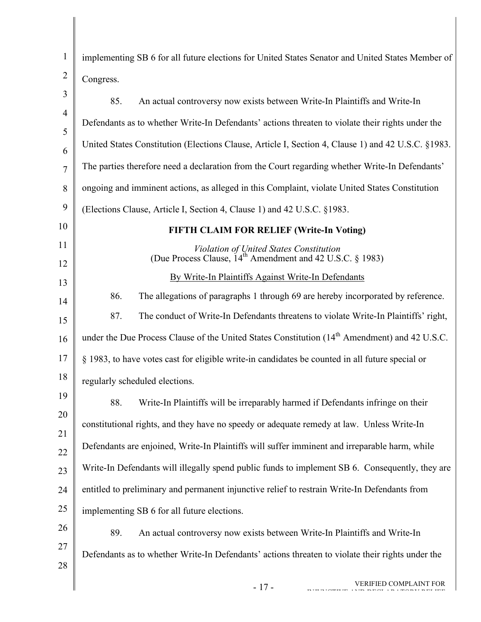| $\mathbf{1}$   | implementing SB 6 for all future elections for United States Senator and United States Member of                 |  |
|----------------|------------------------------------------------------------------------------------------------------------------|--|
| $\overline{2}$ | Congress.                                                                                                        |  |
| 3              | 85.<br>An actual controversy now exists between Write-In Plaintiffs and Write-In                                 |  |
| $\overline{4}$ | Defendants as to whether Write-In Defendants' actions threaten to violate their rights under the                 |  |
| 5<br>6         | United States Constitution (Elections Clause, Article I, Section 4, Clause 1) and 42 U.S.C. §1983.               |  |
| $\tau$         | The parties therefore need a declaration from the Court regarding whether Write-In Defendants'                   |  |
| 8              | ongoing and imminent actions, as alleged in this Complaint, violate United States Constitution                   |  |
| 9              | (Elections Clause, Article I, Section 4, Clause 1) and 42 U.S.C. §1983.                                          |  |
| 10             | <b>FIFTH CLAIM FOR RELIEF (Write-In Voting)</b>                                                                  |  |
| 11             | Violation of United States Constitution<br>(Due Process Clause, 14 <sup>th</sup> Amendment and 42 U.S.C. § 1983) |  |
| 12             | By Write-In Plaintiffs Against Write-In Defendants                                                               |  |
| 13             |                                                                                                                  |  |
| 14             | 86.<br>The allegations of paragraphs 1 through 69 are hereby incorporated by reference.                          |  |
| 15             | 87.<br>The conduct of Write-In Defendants threatens to violate Write-In Plaintiffs' right,                       |  |
| 16             | under the Due Process Clause of the United States Constitution (14 <sup>th</sup> Amendment) and 42 U.S.C.        |  |
| 17             | § 1983, to have votes cast for eligible write-in candidates be counted in all future special or                  |  |
| 18             | regularly scheduled elections.                                                                                   |  |
| 19             | Write-In Plaintiffs will be irreparably harmed if Defendants infringe on their<br>88.                            |  |
| 20             | constitutional rights, and they have no speedy or adequate remedy at law. Unless Write-In                        |  |
| 21<br>22       | Defendants are enjoined, Write-In Plaintiffs will suffer imminent and irreparable harm, while                    |  |
| 23             | Write-In Defendants will illegally spend public funds to implement SB 6. Consequently, they are                  |  |
| 24             | entitled to preliminary and permanent injunctive relief to restrain Write-In Defendants from                     |  |
| 25             | implementing SB 6 for all future elections.                                                                      |  |
| 26             | 89.<br>An actual controversy now exists between Write-In Plaintiffs and Write-In                                 |  |
| 27             | Defendants as to whether Write-In Defendants' actions threaten to violate their rights under the                 |  |
| 28             |                                                                                                                  |  |
|                | VERIFIED COMPLAINT FOR<br>$-17-$                                                                                 |  |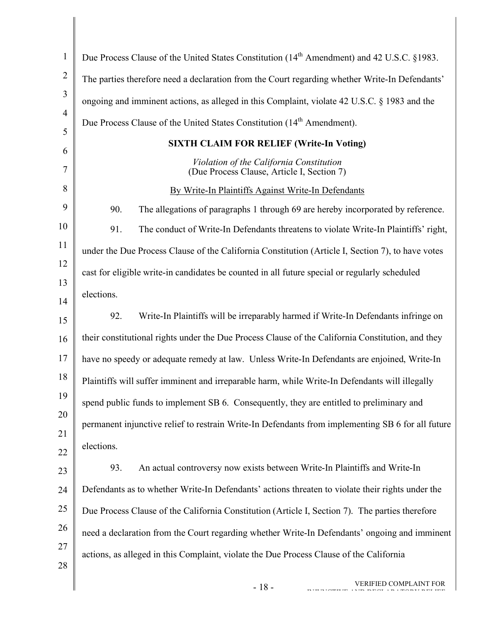| $\mathbf{1}$   | Due Process Clause of the United States Constitution (14 <sup>th</sup> Amendment) and 42 U.S.C. §1983. |  |
|----------------|--------------------------------------------------------------------------------------------------------|--|
| $\overline{2}$ | The parties therefore need a declaration from the Court regarding whether Write-In Defendants'         |  |
| 3              | ongoing and imminent actions, as alleged in this Complaint, violate 42 U.S.C. § 1983 and the           |  |
| $\overline{4}$ | Due Process Clause of the United States Constitution (14 <sup>th</sup> Amendment).                     |  |
| 5<br>6         | <b>SIXTH CLAIM FOR RELIEF (Write-In Voting)</b>                                                        |  |
| $\overline{7}$ | Violation of the California Constitution<br>(Due Process Clause, Article I, Section 7)                 |  |
| 8              | By Write-In Plaintiffs Against Write-In Defendants                                                     |  |
| 9              | 90.<br>The allegations of paragraphs 1 through 69 are hereby incorporated by reference.                |  |
| 10             | 91.<br>The conduct of Write-In Defendants threatens to violate Write-In Plaintiffs' right,             |  |
| 11             | under the Due Process Clause of the California Constitution (Article I, Section 7), to have votes      |  |
| 12             | cast for eligible write-in candidates be counted in all future special or regularly scheduled          |  |
| 13             | elections.                                                                                             |  |
| 14<br>15       | Write-In Plaintiffs will be irreparably harmed if Write-In Defendants infringe on<br>92.               |  |
| 16             | their constitutional rights under the Due Process Clause of the California Constitution, and they      |  |
| 17             | have no speedy or adequate remedy at law. Unless Write-In Defendants are enjoined, Write-In            |  |
| 18             | Plaintiffs will suffer imminent and irreparable harm, while Write-In Defendants will illegally         |  |
| 19             |                                                                                                        |  |
| 20             | spend public funds to implement SB 6. Consequently, they are entitled to preliminary and               |  |
| 21             | permanent injunctive relief to restrain Write-In Defendants from implementing SB 6 for all future      |  |
| 22             | elections.                                                                                             |  |
| 23             | 93.<br>An actual controversy now exists between Write-In Plaintiffs and Write-In                       |  |
| 24             | Defendants as to whether Write-In Defendants' actions threaten to violate their rights under the       |  |
| 25             | Due Process Clause of the California Constitution (Article I, Section 7). The parties therefore        |  |
| 26             | need a declaration from the Court regarding whether Write-In Defendants' ongoing and imminent          |  |
| 27             | actions, as alleged in this Complaint, violate the Due Process Clause of the California                |  |
| 28             |                                                                                                        |  |
|                | VERIFIED COMPLAINT FOR<br>$-18-$                                                                       |  |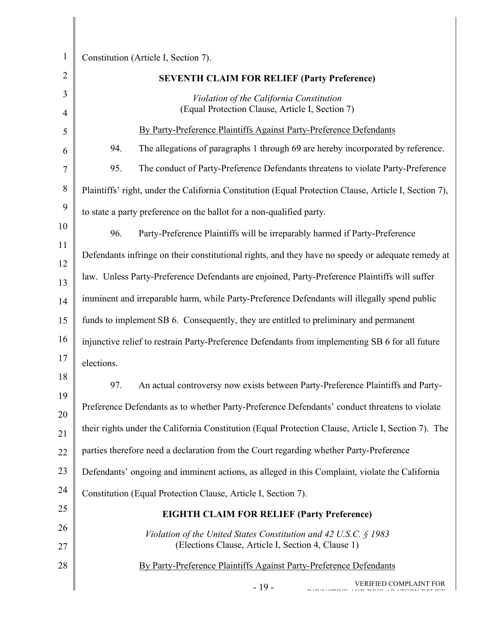| $\mathbf{1}$   | Constitution (Article I, Section 7).                                                                  |  |
|----------------|-------------------------------------------------------------------------------------------------------|--|
| $\overline{2}$ | <b>SEVENTH CLAIM FOR RELIEF (Party Preference)</b>                                                    |  |
| 3              | Violation of the California Constitution                                                              |  |
| $\overline{4}$ | (Equal Protection Clause, Article I, Section 7)                                                       |  |
| 5              | By Party-Preference Plaintiffs Against Party-Preference Defendants                                    |  |
| 6              | 94.<br>The allegations of paragraphs 1 through 69 are hereby incorporated by reference.               |  |
| 7              | 95.<br>The conduct of Party-Preference Defendants threatens to violate Party-Preference               |  |
| 8              | Plaintiffs' right, under the California Constitution (Equal Protection Clause, Article I, Section 7), |  |
| 9              | to state a party preference on the ballot for a non-qualified party.                                  |  |
| 10             | 96.<br>Party-Preference Plaintiffs will be irreparably harmed if Party-Preference                     |  |
| 11             | Defendants infringe on their constitutional rights, and they have no speedy or adequate remedy at     |  |
| 12<br>13       | law. Unless Party-Preference Defendants are enjoined, Party-Preference Plaintiffs will suffer         |  |
| 14             | imminent and irreparable harm, while Party-Preference Defendants will illegally spend public          |  |
| 15             | funds to implement SB 6. Consequently, they are entitled to preliminary and permanent                 |  |
| 16             | injunctive relief to restrain Party-Preference Defendants from implementing SB 6 for all future       |  |
| 17             | elections.                                                                                            |  |
| 18             | 97.<br>An actual controversy now exists between Party-Preference Plaintiffs and Party-                |  |
| 19<br>20       | Preference Defendants as to whether Party-Preference Defendants' conduct threatens to violate         |  |
| 21             | their rights under the California Constitution (Equal Protection Clause, Article I, Section 7). The   |  |
| 22             | parties therefore need a declaration from the Court regarding whether Party-Preference                |  |
| 23             | Defendants' ongoing and imminent actions, as alleged in this Complaint, violate the California        |  |
| 24             | Constitution (Equal Protection Clause, Article I, Section 7).                                         |  |
| 25             | <b>EIGHTH CLAIM FOR RELIEF (Party Preference)</b>                                                     |  |
| 26             | Violation of the United States Constitution and 42 U.S.C. § 1983                                      |  |
| 27             | (Elections Clause, Article I, Section 4, Clause 1)                                                    |  |
| 28             | By Party-Preference Plaintiffs Against Party-Preference Defendants                                    |  |
|                | VERIFIED COMPLAINT FOR<br>$-19-$                                                                      |  |

- 19 - VERIFIED COMPLAINT FOR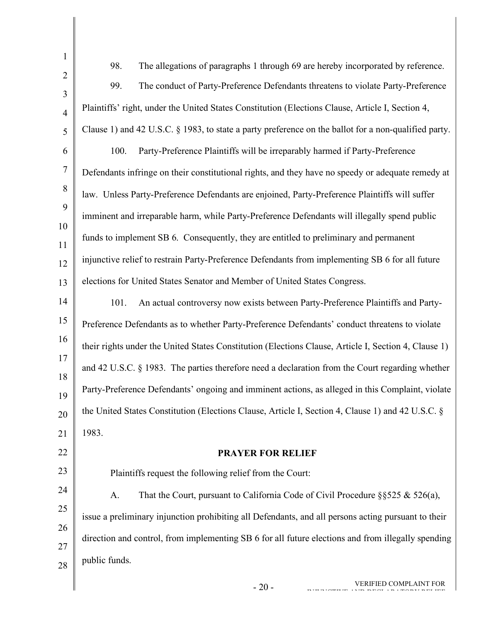| $\mathbf{1}$   |                                                                                                      |
|----------------|------------------------------------------------------------------------------------------------------|
| $\overline{2}$ | 98.<br>The allegations of paragraphs 1 through 69 are hereby incorporated by reference.              |
| 3              | 99.<br>The conduct of Party-Preference Defendants threatens to violate Party-Preference              |
| $\overline{4}$ | Plaintiffs' right, under the United States Constitution (Elections Clause, Article I, Section 4,     |
| 5              | Clause 1) and 42 U.S.C. § 1983, to state a party preference on the ballot for a non-qualified party. |
| 6              | Party-Preference Plaintiffs will be irreparably harmed if Party-Preference<br>100.                   |
| $\overline{7}$ | Defendants infringe on their constitutional rights, and they have no speedy or adequate remedy at    |
| 8              | law. Unless Party-Preference Defendants are enjoined, Party-Preference Plaintiffs will suffer        |
| 9              | imminent and irreparable harm, while Party-Preference Defendants will illegally spend public         |
| 10<br>11       | funds to implement SB 6. Consequently, they are entitled to preliminary and permanent                |
| 12             | injunctive relief to restrain Party-Preference Defendants from implementing SB 6 for all future      |
| 13             | elections for United States Senator and Member of United States Congress.                            |
| 14             | An actual controversy now exists between Party-Preference Plaintiffs and Party-<br>101.              |
| 15             | Preference Defendants as to whether Party-Preference Defendants' conduct threatens to violate        |
| 16             | their rights under the United States Constitution (Elections Clause, Article I, Section 4, Clause 1) |
| 17             | and 42 U.S.C. § 1983. The parties therefore need a declaration from the Court regarding whether      |
| 18<br>19       | Party-Preference Defendants' ongoing and imminent actions, as alleged in this Complaint, violate     |
| 20             | the United States Constitution (Elections Clause, Article I, Section 4, Clause 1) and 42 U.S.C. §    |
| 21             | 1983.                                                                                                |
| 22             | <b>PRAYER FOR RELIEF</b>                                                                             |
| 23             | Plaintiffs request the following relief from the Court:                                              |
| 24             | A.<br>That the Court, pursuant to California Code of Civil Procedure $\S$ \$525 & 526(a),            |
| 25             |                                                                                                      |
| 26             | issue a preliminary injunction prohibiting all Defendants, and all persons acting pursuant to their  |
| 27             | direction and control, from implementing SB 6 for all future elections and from illegally spending   |
| 28             | public funds.                                                                                        |
|                | VERIFIED COMPLAINT FOR<br>$-20-$                                                                     |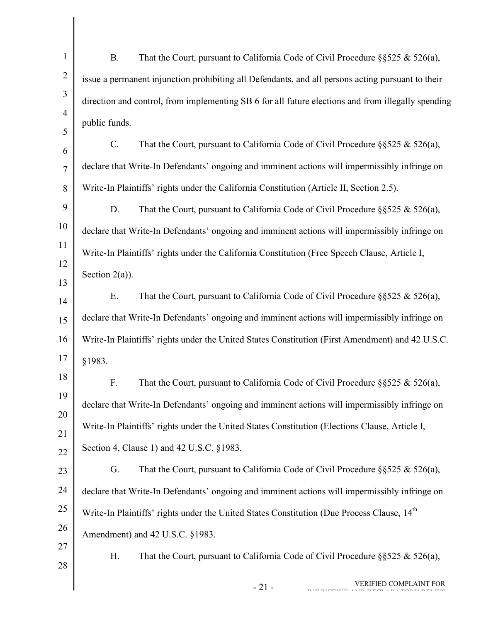| $\mathbf{1}$   | <b>B.</b>                                                                                      | That the Court, pursuant to California Code of Civil Procedure $\S$ §525 & 526(a),                     |
|----------------|------------------------------------------------------------------------------------------------|--------------------------------------------------------------------------------------------------------|
| $\overline{2}$ |                                                                                                | issue a permanent injunction prohibiting all Defendants, and all persons acting pursuant to their      |
| 3              |                                                                                                | direction and control, from implementing SB 6 for all future elections and from illegally spending     |
| $\overline{4}$ | public funds.                                                                                  |                                                                                                        |
| 5<br>6         | $C$ .                                                                                          | That the Court, pursuant to California Code of Civil Procedure $\S$ \$525 & 526(a),                    |
| 7              |                                                                                                | declare that Write-In Defendants' ongoing and imminent actions will impermissibly infringe on          |
| 8              |                                                                                                | Write-In Plaintiffs' rights under the California Constitution (Article II, Section 2.5).               |
| 9              | D.                                                                                             | That the Court, pursuant to California Code of Civil Procedure $\S$ \$525 & 526(a),                    |
| 10             |                                                                                                | declare that Write-In Defendants' ongoing and imminent actions will impermissibly infringe on          |
| 11             | Write-In Plaintiffs' rights under the California Constitution (Free Speech Clause, Article I,  |                                                                                                        |
| 12             | Section $2(a)$ ).                                                                              |                                                                                                        |
| 13             | Ε.                                                                                             | That the Court, pursuant to California Code of Civil Procedure $\S$ \$525 & 526(a),                    |
| 14             |                                                                                                | declare that Write-In Defendants' ongoing and imminent actions will impermissibly infringe on          |
| 15<br>16       |                                                                                                | Write-In Plaintiffs' rights under the United States Constitution (First Amendment) and 42 U.S.C.       |
| 17             | §1983.                                                                                         |                                                                                                        |
| 18             |                                                                                                |                                                                                                        |
| 19             | F.                                                                                             | That the Court, pursuant to California Code of Civil Procedure $\S$ \$525 & 526(a),                    |
| 20             | declare that Write-In Defendants' ongoing and imminent actions will impermissibly infringe on  |                                                                                                        |
| 21             | Write-In Plaintiffs' rights under the United States Constitution (Elections Clause, Article I, |                                                                                                        |
| 22             |                                                                                                | Section 4, Clause 1) and 42 U.S.C. §1983.                                                              |
| 23             | G.                                                                                             | That the Court, pursuant to California Code of Civil Procedure $\S$ \$525 & 526(a),                    |
| 24             |                                                                                                | declare that Write-In Defendants' ongoing and imminent actions will impermissibly infringe on          |
| 25             |                                                                                                | Write-In Plaintiffs' rights under the United States Constitution (Due Process Clause, 14 <sup>th</sup> |
| 26<br>27       |                                                                                                | Amendment) and 42 U.S.C. §1983.                                                                        |
| 28             | Η.                                                                                             | That the Court, pursuant to California Code of Civil Procedure $\S$ \$525 & 526(a),                    |
|                |                                                                                                | VERIFIED COMPLAINT FOR<br>$-21-$                                                                       |
|                |                                                                                                |                                                                                                        |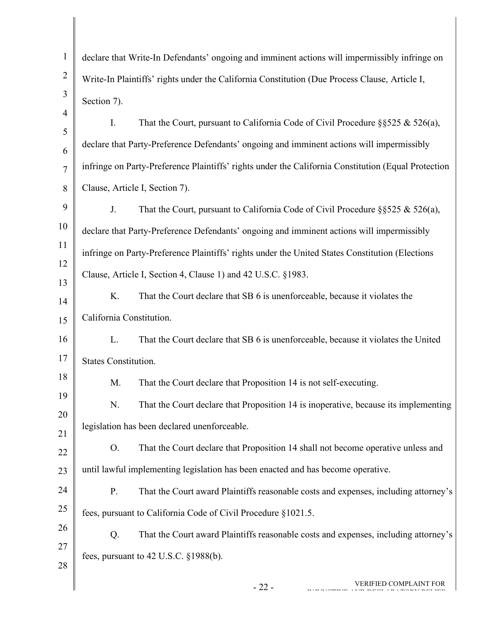| $\mathbf{1}$        | declare that Write-In Defendants' ongoing and imminent actions will impermissibly infringe on       |  |
|---------------------|-----------------------------------------------------------------------------------------------------|--|
| $\overline{2}$      | Write-In Plaintiffs' rights under the California Constitution (Due Process Clause, Article I,       |  |
| 3                   | Section 7).                                                                                         |  |
| $\overline{4}$      | $I_{\cdot}$<br>That the Court, pursuant to California Code of Civil Procedure $\S$ §525 & 526(a),   |  |
| $\mathfrak{S}$<br>6 | declare that Party-Preference Defendants' ongoing and imminent actions will impermissibly           |  |
| $\overline{7}$      | infringe on Party-Preference Plaintiffs' rights under the California Constitution (Equal Protection |  |
| 8                   | Clause, Article I, Section 7).                                                                      |  |
| 9                   | J.<br>That the Court, pursuant to California Code of Civil Procedure $\S$ \$525 & 526(a),           |  |
| 10                  | declare that Party-Preference Defendants' ongoing and imminent actions will impermissibly           |  |
| 11                  | infringe on Party-Preference Plaintiffs' rights under the United States Constitution (Elections     |  |
| 12                  | Clause, Article I, Section 4, Clause 1) and 42 U.S.C. §1983.                                        |  |
| 13<br>14            | K.<br>That the Court declare that SB 6 is unenforceable, because it violates the                    |  |
| 15                  | California Constitution.                                                                            |  |
| 16                  | L.<br>That the Court declare that SB 6 is unenforceable, because it violates the United             |  |
| 17                  | <b>States Constitution.</b>                                                                         |  |
| 18                  | That the Court declare that Proposition 14 is not self-executing.<br>M.                             |  |
| 19                  | That the Court declare that Proposition 14 is inoperative, because its implementing<br>N.           |  |
| 20                  | legislation has been declared unenforceable.                                                        |  |
| 21<br>22            | That the Court declare that Proposition 14 shall not become operative unless and<br>O <sub>1</sub>  |  |
| 23                  | until lawful implementing legislation has been enacted and has become operative.                    |  |
| 24                  | That the Court award Plaintiffs reasonable costs and expenses, including attorney's<br>P.           |  |
| 25                  | fees, pursuant to California Code of Civil Procedure §1021.5.                                       |  |
| 26                  | Q.<br>That the Court award Plaintiffs reasonable costs and expenses, including attorney's           |  |
| 27                  | fees, pursuant to $42$ U.S.C. $\S 1988(b)$ .                                                        |  |
| 28                  |                                                                                                     |  |
|                     | VERIFIED COMPLAINT FOR<br>$-22-$                                                                    |  |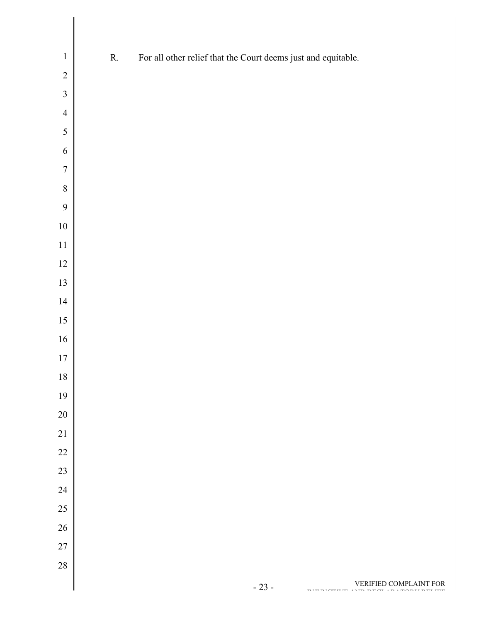| $\,1\,$        | ${\bf R}.$ | For all other relief that the Court deems just and equitable. |
|----------------|------------|---------------------------------------------------------------|
| $\overline{2}$ |            |                                                               |
| $\overline{3}$ |            |                                                               |
| $\overline{4}$ |            |                                                               |
| 5              |            |                                                               |
| $\sqrt{6}$     |            |                                                               |
| $\overline{7}$ |            |                                                               |
| $\,8\,$        |            |                                                               |
| 9              |            |                                                               |
| $10\,$         |            |                                                               |
| $11\,$         |            |                                                               |
| $12\,$         |            |                                                               |
| 13             |            |                                                               |
| $14$           |            |                                                               |
| 15             |            |                                                               |
| $16\,$         |            |                                                               |
| $17\,$         |            |                                                               |
| 18             |            |                                                               |
| 19             |            |                                                               |
| $20\,$         |            |                                                               |
| $21\,$         |            |                                                               |
| $22\,$         |            |                                                               |
| 23             |            |                                                               |
| 24             |            |                                                               |
| $25\,$         |            |                                                               |
| $26\,$         |            |                                                               |
| $27\,$         |            |                                                               |
| 28             |            |                                                               |
|                |            | VERIFIED COMPLAINT FOR<br>$-23-$                              |